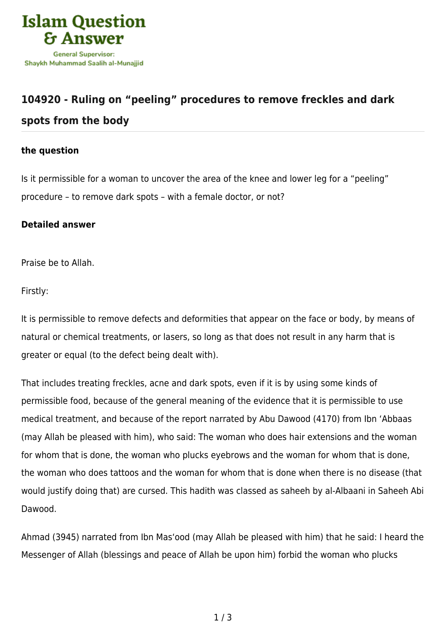

## **[104920 - Ruling on "peeling" procedures to remove freckles and dark](https://islamqa.com/en/answers/104920/ruling-on-peeling-procedures-to-remove-freckles-and-dark-spots-from-the-body) [spots from the body](https://islamqa.com/en/answers/104920/ruling-on-peeling-procedures-to-remove-freckles-and-dark-spots-from-the-body)**

## **the question**

Is it permissible for a woman to uncover the area of the knee and lower leg for a "peeling" procedure – to remove dark spots – with a female doctor, or not?

## **Detailed answer**

Praise be to Allah.

Firstly:

It is permissible to remove defects and deformities that appear on the face or body, by means of natural or chemical treatments, or lasers, so long as that does not result in any harm that is greater or equal (to the defect being dealt with).

That includes treating freckles, acne and dark spots, even if it is by using some kinds of permissible food, because of the general meaning of the evidence that it is permissible to use medical treatment, and because of the report narrated by Abu Dawood (4170) from Ibn 'Abbaas (may Allah be pleased with him), who said: The woman who does hair extensions and the woman for whom that is done, the woman who plucks eyebrows and the woman for whom that is done, the woman who does tattoos and the woman for whom that is done when there is no disease (that would justify doing that) are cursed. This hadith was classed as saheeh by al-Albaani in Saheeh Abi Dawood.

Ahmad (3945) narrated from Ibn Mas'ood (may Allah be pleased with him) that he said: I heard the Messenger of Allah (blessings and peace of Allah be upon him) forbid the woman who plucks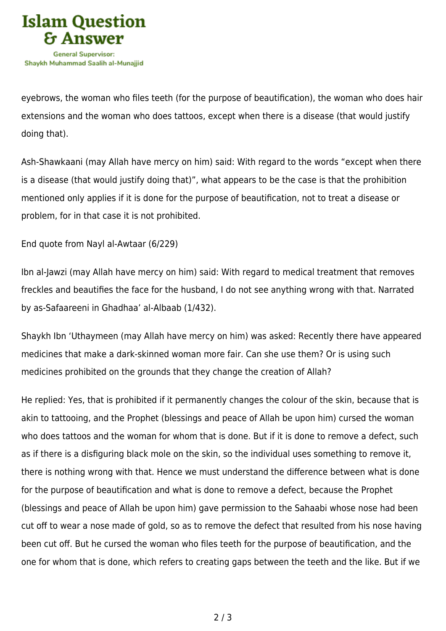

eyebrows, the woman who files teeth (for the purpose of beautification), the woman who does hair extensions and the woman who does tattoos, except when there is a disease (that would justify doing that).

Ash-Shawkaani (may Allah have mercy on him) said: With regard to the words "except when there is a disease (that would justify doing that)", what appears to be the case is that the prohibition mentioned only applies if it is done for the purpose of beautification, not to treat a disease or problem, for in that case it is not prohibited.

End quote from Nayl al-Awtaar (6/229)

Ibn al-Jawzi (may Allah have mercy on him) said: With regard to medical treatment that removes freckles and beautifies the face for the husband, I do not see anything wrong with that. Narrated by as-Safaareeni in Ghadhaa' al-Albaab (1/432).

Shaykh Ibn 'Uthaymeen (may Allah have mercy on him) was asked: Recently there have appeared medicines that make a dark-skinned woman more fair. Can she use them? Or is using such medicines prohibited on the grounds that they change the creation of Allah?

He replied: Yes, that is prohibited if it permanently changes the colour of the skin, because that is akin to tattooing, and the Prophet (blessings and peace of Allah be upon him) cursed the woman who does tattoos and the woman for whom that is done. But if it is done to remove a defect, such as if there is a disfiguring black mole on the skin, so the individual uses something to remove it, there is nothing wrong with that. Hence we must understand the difference between what is done for the purpose of beautification and what is done to remove a defect, because the Prophet (blessings and peace of Allah be upon him) gave permission to the Sahaabi whose nose had been cut off to wear a nose made of gold, so as to remove the defect that resulted from his nose having been cut off. But he cursed the woman who files teeth for the purpose of beautification, and the one for whom that is done, which refers to creating gaps between the teeth and the like. But if we